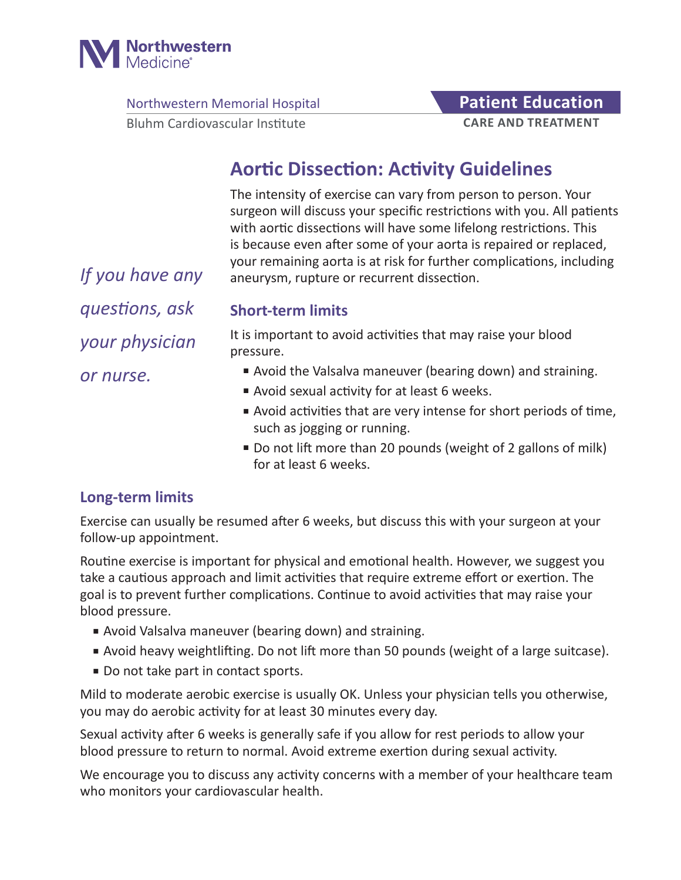

Northwestern Memorial Hospital **Patient Education** 

Bluhm Cardiovascular Institute

# **CARE AND TREATMENT**

## **Aortic Dissection: Activity Guidelines**

The intensity of exercise can vary from person to person. Your surgeon will discuss your specific restrictions with you. All patients with aortic dissections will have some lifelong restrictions. This is because even after some of your aorta is repaired or replaced, your remaining aorta is at risk for further complications, including aneurysm, rupture or recurrent dissection.

*If you have any questions, ask your physician or nurse.*

#### **Short-term limits**

It is important to avoid activities that may raise your blood pressure.

- Avoid the Valsalva maneuver (bearing down) and straining.
- Avoid sexual activity for at least 6 weeks.
- Avoid activities that are very intense for short periods of time, such as jogging or running.
- Do not lift more than 20 pounds (weight of 2 gallons of milk) for at least 6 weeks.

#### **Long-term limits**

Exercise can usually be resumed after 6 weeks, but discuss this with your surgeon at your follow-up appointment.

Routine exercise is important for physical and emotional health. However, we suggest you take a cautious approach and limit activities that require extreme effort or exertion. The goal is to prevent further complications. Continue to avoid activities that may raise your blood pressure.

- Avoid Valsalva maneuver (bearing down) and straining.
- Avoid heavy weightlifting. Do not lift more than 50 pounds (weight of a large suitcase).
- Do not take part in contact sports.

Mild to moderate aerobic exercise is usually OK. Unless your physician tells you otherwise, you may do aerobic activity for at least 30 minutes every day.

Sexual activity after 6 weeks is generally safe if you allow for rest periods to allow your blood pressure to return to normal. Avoid extreme exertion during sexual activity.

We encourage you to discuss any activity concerns with a member of your healthcare team who monitors your cardiovascular health.